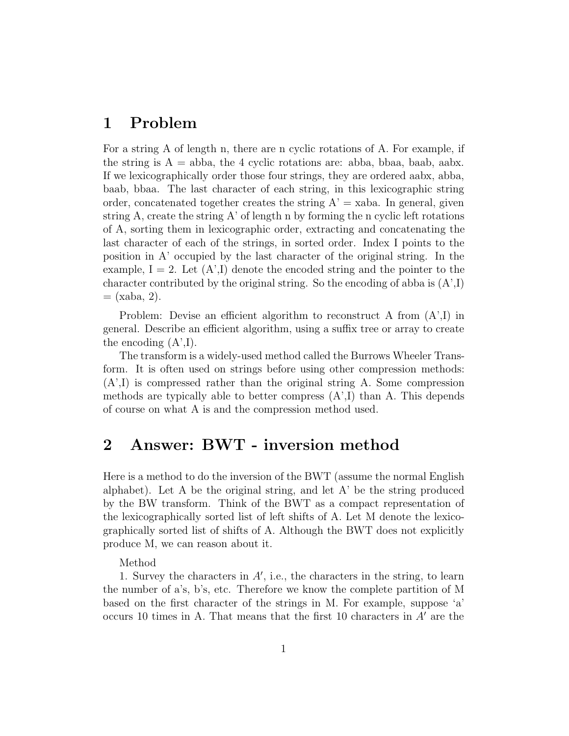## 1 Problem

For a string A of length n, there are n cyclic rotations of A. For example, if the string is  $A = abba$ , the 4 cyclic rotations are: abba, bbaa, baab, aabx. If we lexicographically order those four strings, they are ordered aabx, abba, baab, bbaa. The last character of each string, in this lexicographic string order, concatenated together creates the string  $A' = xaba$ . In general, given string A, create the string  $A'$  of length n by forming the n cyclic left rotations of A, sorting them in lexicographic order, extracting and concatenating the last character of each of the strings, in sorted order. Index I points to the position in A' occupied by the last character of the original string. In the example,  $I = 2$ . Let  $(A', I)$  denote the encoded string and the pointer to the character contributed by the original string. So the encoding of abba is  $(A',I)$  $=$  (xaba, 2).

Problem: Devise an efficient algorithm to reconstruct A from  $(A',I)$  in general. Describe an efficient algorithm, using a suffix tree or array to create the encoding  $(A',I)$ .

The transform is a widely-used method called the Burrows Wheeler Transform. It is often used on strings before using other compression methods: (A',I) is compressed rather than the original string A. Some compression methods are typically able to better compress  $(A',I)$  than A. This depends of course on what A is and the compression method used.

## 2 Answer: BWT - inversion method

Here is a method to do the inversion of the BWT (assume the normal English alphabet). Let A be the original string, and let A' be the string produced by the BW transform. Think of the BWT as a compact representation of the lexicographically sorted list of left shifts of A. Let M denote the lexicographically sorted list of shifts of A. Although the BWT does not explicitly produce M, we can reason about it.

Method

1. Survey the characters in  $A'$ , i.e., the characters in the string, to learn the number of a's, b's, etc. Therefore we know the complete partition of M based on the first character of the strings in M. For example, suppose 'a' occurs 10 times in A. That means that the first 10 characters in  $A'$  are the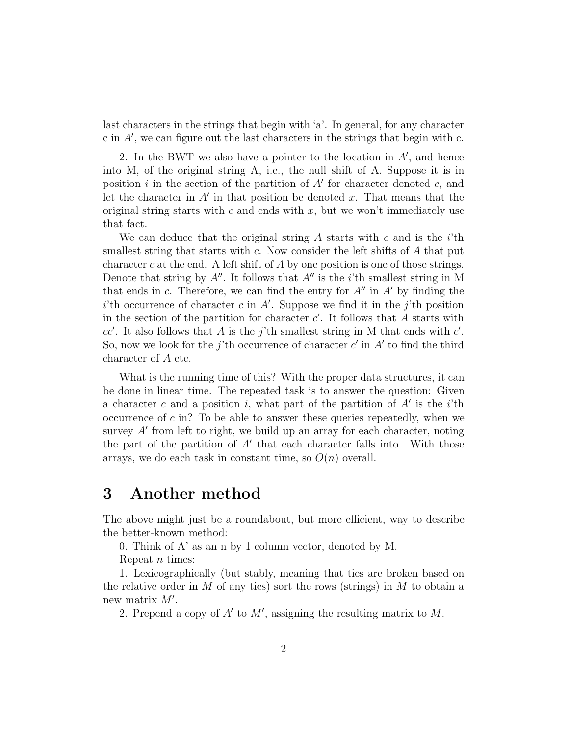last characters in the strings that begin with 'a'. In general, for any character c in  $A'$ , we can figure out the last characters in the strings that begin with c.

2. In the BWT we also have a pointer to the location in  $A'$ , and hence into M, of the original string A, i.e., the null shift of A. Suppose it is in position i in the section of the partition of  $A'$  for character denoted c, and let the character in  $A'$  in that position be denoted x. That means that the original string starts with  $c$  and ends with  $x$ , but we won't immediately use that fact.

We can deduce that the original string A starts with c and is the  $i$ <sup>th</sup> smallest string that starts with c. Now consider the left shifts of A that put character c at the end. A left shift of A by one position is one of those strings. Denote that string by  $A''$ . It follows that  $A''$  is the *i*'th smallest string in M that ends in c. Therefore, we can find the entry for  $A''$  in  $A'$  by finding the i'th occurrence of character c in A'. Suppose we find it in the j'th position in the section of the partition for character  $c'$ . It follows that A starts with  $cc'$ . It also follows that A is the j'th smallest string in M that ends with  $c'$ . So, now we look for the j'th occurrence of character c' in  $A'$  to find the third character of A etc.

What is the running time of this? With the proper data structures, it can be done in linear time. The repeated task is to answer the question: Given a character c and a position i, what part of the partition of  $A'$  is the i'th occurrence of  $c$  in? To be able to answer these queries repeatedly, when we survey  $A'$  from left to right, we build up an array for each character, noting the part of the partition of  $A'$  that each character falls into. With those arrays, we do each task in constant time, so  $O(n)$  overall.

## 3 Another method

The above might just be a roundabout, but more efficient, way to describe the better-known method:

0. Think of A' as an n by 1 column vector, denoted by M.

Repeat  $n$  times:

1. Lexicographically (but stably, meaning that ties are broken based on the relative order in M of any ties) sort the rows (strings) in M to obtain a new matrix  $M'$ .

2. Prepend a copy of  $A'$  to  $M'$ , assigning the resulting matrix to  $M$ .